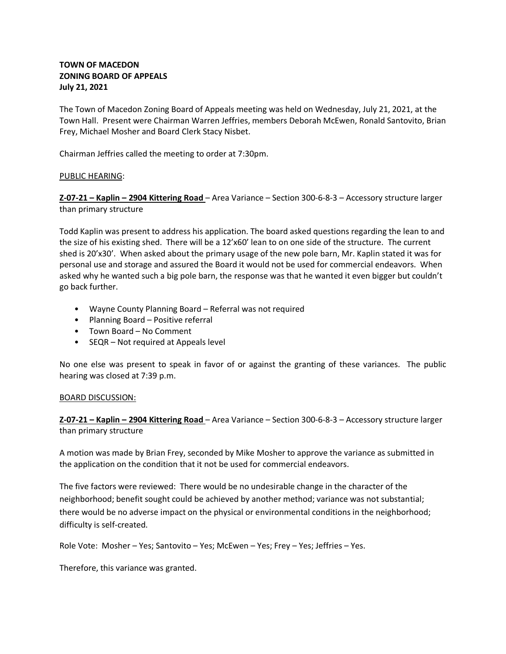## **TOWN OF MACEDON ZONING BOARD OF APPEALS July 21, 2021**

The Town of Macedon Zoning Board of Appeals meeting was held on Wednesday, July 21, 2021, at the Town Hall. Present were Chairman Warren Jeffries, members Deborah McEwen, Ronald Santovito, Brian Frey, Michael Mosher and Board Clerk Stacy Nisbet.

Chairman Jeffries called the meeting to order at 7:30pm.

# PUBLIC HEARING:

**Z-07-21 – Kaplin – 2904 Kittering Road** – Area Variance – Section 300-6-8-3 – Accessory structure larger than primary structure

Todd Kaplin was present to address his application. The board asked questions regarding the lean to and the size of his existing shed. There will be a 12'x60' lean to on one side of the structure. The current shed is 20'x30'. When asked about the primary usage of the new pole barn, Mr. Kaplin stated it was for personal use and storage and assured the Board it would not be used for commercial endeavors. When asked why he wanted such a big pole barn, the response was that he wanted it even bigger but couldn't go back further.

- Wayne County Planning Board Referral was not required
- Planning Board Positive referral
- Town Board No Comment
- SEQR Not required at Appeals level

No one else was present to speak in favor of or against the granting of these variances. The public hearing was closed at 7:39 p.m.

## BOARD DISCUSSION:

**Z-07-21 – Kaplin – 2904 Kittering Road** – Area Variance – Section 300-6-8-3 – Accessory structure larger than primary structure

A motion was made by Brian Frey, seconded by Mike Mosher to approve the variance as submitted in the application on the condition that it not be used for commercial endeavors.

The five factors were reviewed: There would be no undesirable change in the character of the neighborhood; benefit sought could be achieved by another method; variance was not substantial; there would be no adverse impact on the physical or environmental conditions in the neighborhood; difficulty is self-created.

Role Vote: Mosher – Yes; Santovito – Yes; McEwen – Yes; Frey – Yes; Jeffries – Yes.

Therefore, this variance was granted.